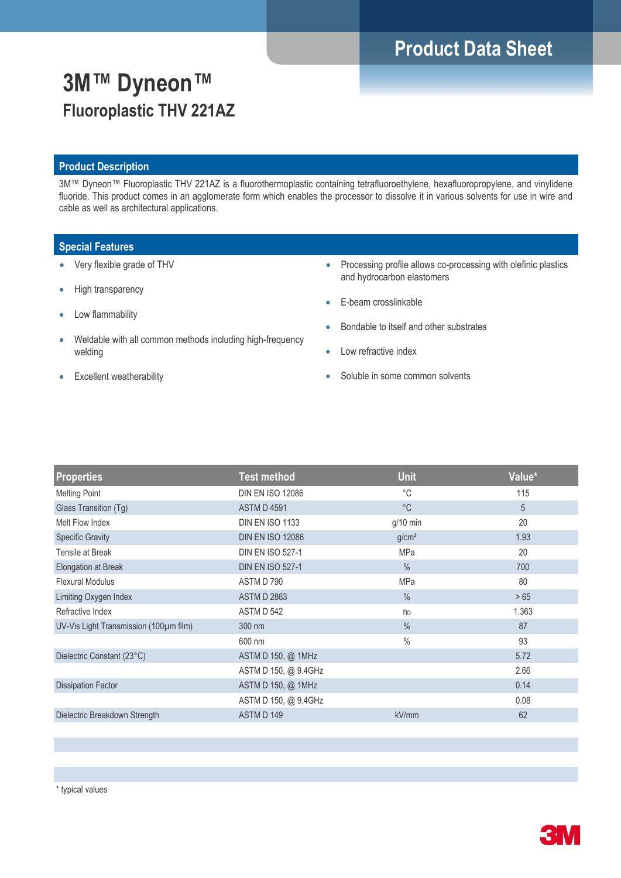# **Product Data Sheet**

# **3M™ Dyneon™ Fluoroplastic THV 221AZ**

### **Product Description**

3M™ Dyneon™ Fluoroplastic THV 221AZ is a fluorothermoplastic containing tetrafluoroethylene, hexafluoropropylene, and vinylidene fluoride. This product comes in an agglomerate form which enables the processor to dissolve it in various solvents for use in wire and cable as well as architectural applications.

### **Special Features**

- Very flexible grade of THV
- High transparency
- Low flammability
- Weldable with all common methods including high-frequency welding
- Excellent weatherability
- Processing profile allows co-processing with olefinic plastics and hydrocarbon elastomers
- E-beam crosslinkable
- Bondable to itself and other substrates
- Low refractive index
- Soluble in some common solvents

| <b>Properties</b>                      | <b>Test method</b>      | <b>Unit</b>       | Value* |
|----------------------------------------|-------------------------|-------------------|--------|
| <b>Melting Point</b>                   | <b>DIN EN ISO 12086</b> | °C                | 115    |
| Glass Transition (Tg)                  | <b>ASTM D 4591</b>      | $^{\circ}$ C      | 5      |
| Melt Flow Index                        | <b>DIN EN ISO 1133</b>  | $g/10$ min        | 20     |
| <b>Specific Gravity</b>                | <b>DIN EN ISO 12086</b> | g/cm <sup>3</sup> | 1.93   |
| Tensile at Break                       | <b>DIN EN ISO 527-1</b> | <b>MPa</b>        | 20     |
| Elongation at Break                    | <b>DIN EN ISO 527-1</b> | $\frac{0}{0}$     | 700    |
| <b>Flexural Modulus</b>                | ASTM D 790              | <b>MPa</b>        | 80     |
| Limiting Oxygen Index                  | <b>ASTM D 2863</b>      | $\frac{0}{0}$     | >65    |
| Refractive Index                       | ASTM D 542              | $n_D$             | 1.363  |
| UV-Vis Light Transmission (100µm film) | 300 nm                  | $\frac{0}{0}$     | 87     |
|                                        | 600 nm                  | $\%$              | 93     |
| Dielectric Constant (23°C)             | ASTM D 150, @ 1MHz      |                   | 5.72   |
|                                        | ASTM D 150, @ 9.4GHz    |                   | 2.66   |
| <b>Dissipation Factor</b>              | ASTM D 150, @ 1MHz      |                   | 0.14   |
|                                        | ASTM D 150, @ 9.4GHz    |                   | 0.08   |
| Dielectric Breakdown Strength          | ASTM D 149              | kV/mm             | 62     |

\* typical values

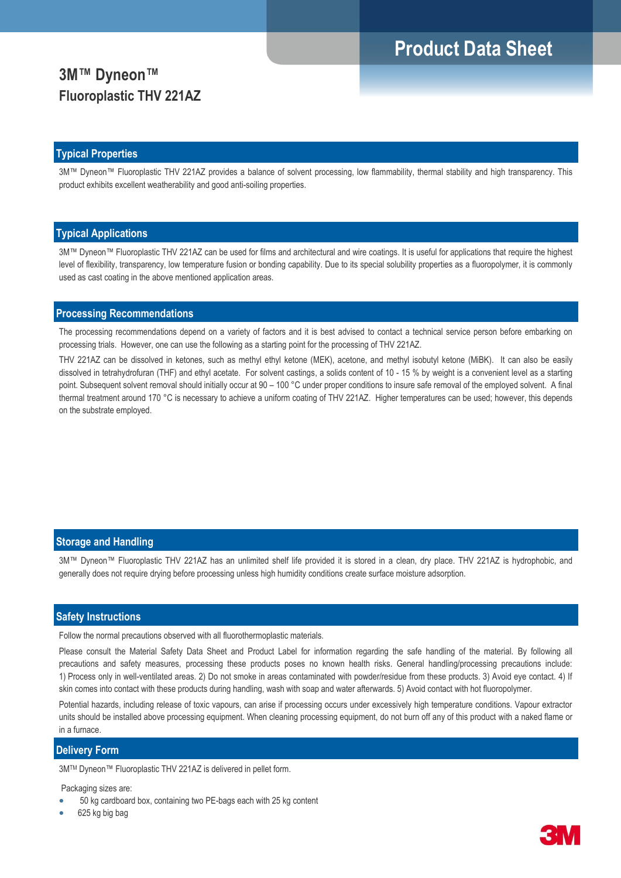# **Product Data Sheet**

## **3M™ Dyneon™ Fluoroplastic THV 221AZ**

### **Typical Properties**

3M™ Dyneon™ Fluoroplastic THV 221AZ provides a balance of solvent processing, low flammability, thermal stability and high transparency. This product exhibits excellent weatherability and good anti-soiling properties.

### **Typical Applications**

3M™ Dyneon™ Fluoroplastic THV 221AZ can be used for films and architectural and wire coatings. It is useful for applications that require the highest level of flexibility, transparency, low temperature fusion or bonding capability. Due to its special solubility properties as a fluoropolymer, it is commonly used as cast coating in the above mentioned application areas.

### **Processing Recommendations**

The processing recommendations depend on a variety of factors and it is best advised to contact a technical service person before embarking on processing trials. However, one can use the following as a starting point for the processing of THV 221AZ.

THV 221AZ can be dissolved in ketones, such as methyl ethyl ketone (MEK), acetone, and methyl isobutyl ketone (MiBK). It can also be easily dissolved in tetrahydrofuran (THF) and ethyl acetate. For solvent castings, a solids content of 10 - 15 % by weight is a convenient level as a starting point. Subsequent solvent removal should initially occur at 90 – 100 °C under proper conditions to insure safe removal of the employed solvent. A final thermal treatment around 170 °C is necessary to achieve a uniform coating of THV 221AZ. Higher temperatures can be used; however, this depends on the substrate employed.

### **Storage and Handling**

3M™ Dyneon™ Fluoroplastic THV 221AZ has an unlimited shelf life provided it is stored in a clean, dry place. THV 221AZ is hydrophobic, and generally does not require drying before processing unless high humidity conditions create surface moisture adsorption.

#### **Safety Instructions**

Follow the normal precautions observed with all fluorothermoplastic materials.

Please consult the Material Safety Data Sheet and Product Label for information regarding the safe handling of the material. By following all precautions and safety measures, processing these products poses no known health risks. General handling/processing precautions include: 1) Process only in well-ventilated areas. 2) Do not smoke in areas contaminated with powder/residue from these products. 3) Avoid eye contact. 4) If skin comes into contact with these products during handling, wash with soap and water afterwards. 5) Avoid contact with hot fluoropolymer.

Potential hazards, including release of toxic vapours, can arise if processing occurs under excessively high temperature conditions. Vapour extractor units should be installed above processing equipment. When cleaning processing equipment, do not burn off any of this product with a naked flame or in a furnace.

#### **Delivery Form**

3MTM Dyneon™ Fluoroplastic THV 221AZ is delivered in pellet form.

Packaging sizes are:

- 50 kg cardboard box, containing two PE-bags each with 25 kg content
- 625 kg big bag